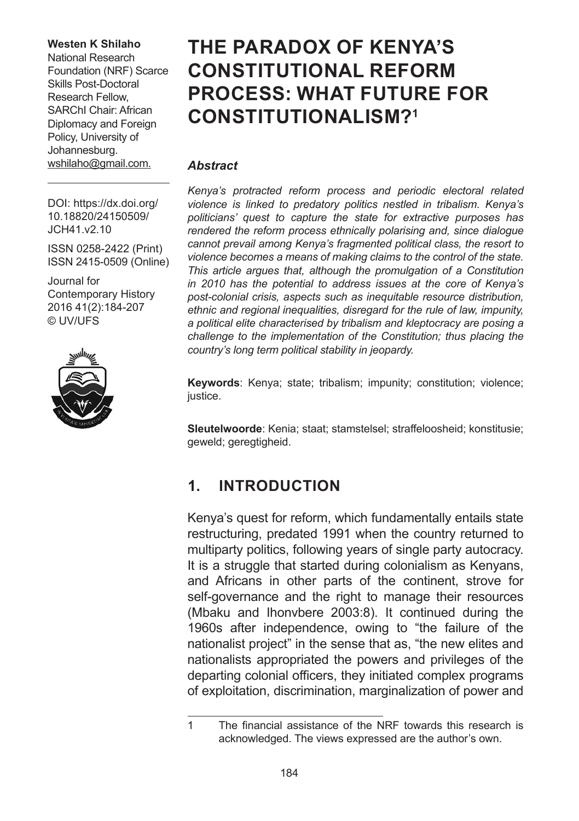#### **Westen K Shilaho**

National Research Foundation (NRF) Scarce Skills Post-Doctoral Research Fellow, SARChI Chair: African Diplomacy and Foreign Policy, University of Johannesburg. [wshilaho@gmail.com](mailto:wshilaho@gmail.com).

# **THE PARADOX OF KENYA'S CONSTITUTIONAL REFORM PROCESS: WHAT FUTURE FOR CONSTITUTIONALISM?1**

#### *Abstract*

*Kenya's protracted reform process and periodic electoral related violence is linked to predatory politics nestled in tribalism. Kenya's politicians' quest to capture the state for extractive purposes has rendered the reform process ethnically polarising and, since dialogue cannot prevail among Kenya's fragmented political class, the resort to violence becomes a means of making claims to the control of the state. This article argues that, although the promulgation of a Constitution in 2010 has the potential to address issues at the core of Kenya's post-colonial crisis, aspects such as inequitable resource distribution, ethnic and regional inequalities, disregard for the rule of law, impunity, a political elite characterised by tribalism and kleptocracy are posing a challenge to the implementation of the Constitution; thus placing the country's long term political stability in jeopardy.* 

**Keywords**: Kenya; state; tribalism; impunity; constitution; violence; justice.

**Sleutelwoorde**: Kenia; staat; stamstelsel; straffeloosheid; konstitusie; geweld; geregtigheid.

#### **1. INTRODUCTION**

Kenya's quest for reform, which fundamentally entails state restructuring, predated 1991 when the country returned to multiparty politics, following years of single party autocracy. It is a struggle that started during colonialism as Kenyans. and Africans in other parts of the continent, strove for self-governance and the right to manage their resources (Mbaku and Ihonvbere 2003:8). It continued during the 1960s after independence, owing to "the failure of the nationalist project" in the sense that as, "the new elites and nationalists appropriated the powers and privileges of the departing colonial officers, they initiated complex programs of exploitation, discrimination, marginalization of power and

DOI: [https://dx.doi.org/](https://dx.doi.org/
10.18820/24150509/JCH41.v2.2) [10.18820/24150509/](https://dx.doi.org/
10.18820/24150509/JCH41.v2.2) [JCH41.v2.1](https://dx.doi.org/
10.18820/24150509/JCH41.v2.2)0

ISSN 0258-2422 (Print) ISSN 2415-0509 (Online)

Journal for Contemporary History 2016 41(2):184-207 © UV/UFS



<sup>1</sup> The financial assistance of the NRF towards this research is acknowledged. The views expressed are the author's own.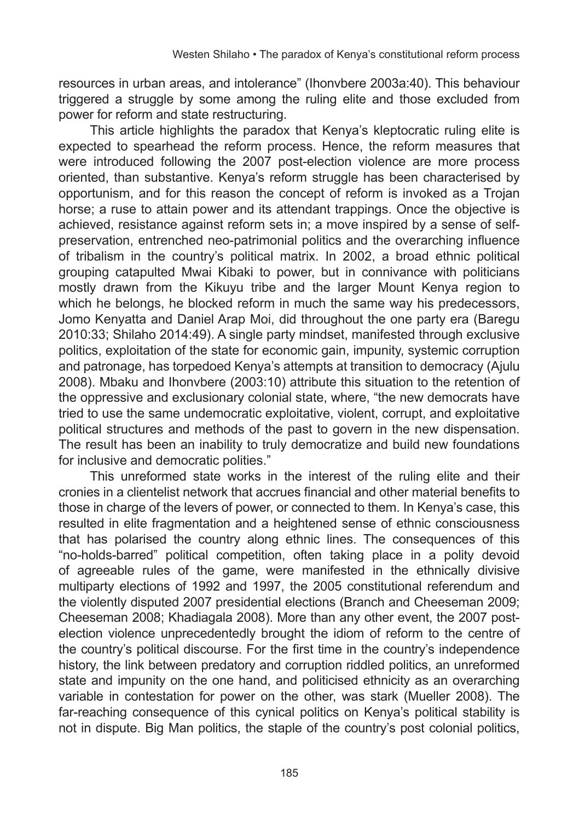resources in urban areas, and intolerance" (Ihonvbere 2003a:40). This behaviour triggered a struggle by some among the ruling elite and those excluded from power for reform and state restructuring.

This article highlights the paradox that Kenya's kleptocratic ruling elite is expected to spearhead the reform process. Hence, the reform measures that were introduced following the 2007 post-election violence are more process oriented, than substantive. Kenya's reform struggle has been characterised by opportunism, and for this reason the concept of reform is invoked as a Trojan horse; a ruse to attain power and its attendant trappings. Once the objective is achieved, resistance against reform sets in; a move inspired by a sense of selfpreservation, entrenched neo-patrimonial politics and the overarching influence of tribalism in the country's political matrix. In 2002, a broad ethnic political grouping catapulted Mwai Kibaki to power, but in connivance with politicians mostly drawn from the Kikuyu tribe and the larger Mount Kenya region to which he belongs, he blocked reform in much the same way his predecessors, Jomo Kenyatta and Daniel Arap Moi, did throughout the one party era (Baregu 2010:33; Shilaho 2014:49). A single party mindset, manifested through exclusive politics, exploitation of the state for economic gain, impunity, systemic corruption and patronage, has torpedoed Kenya's attempts at transition to democracy (Ajulu 2008). Mbaku and Ihonvbere (2003:10) attribute this situation to the retention of the oppressive and exclusionary colonial state, where, "the new democrats have tried to use the same undemocratic exploitative, violent, corrupt, and exploitative political structures and methods of the past to govern in the new dispensation. The result has been an inability to truly democratize and build new foundations for inclusive and democratic polities."

This unreformed state works in the interest of the ruling elite and their cronies in a clientelist network that accrues financial and other material benefits to those in charge of the levers of power, or connected to them. In Kenya's case, this resulted in elite fragmentation and a heightened sense of ethnic consciousness that has polarised the country along ethnic lines. The consequences of this "no-holds-barred" political competition, often taking place in a polity devoid of agreeable rules of the game, were manifested in the ethnically divisive multiparty elections of 1992 and 1997, the 2005 constitutional referendum and the violently disputed 2007 presidential elections (Branch and Cheeseman 2009; Cheeseman 2008; Khadiagala 2008). More than any other event, the 2007 postelection violence unprecedentedly brought the idiom of reform to the centre of the country's political discourse. For the first time in the country's independence history, the link between predatory and corruption riddled politics, an unreformed state and impunity on the one hand, and politicised ethnicity as an overarching variable in contestation for power on the other, was stark (Mueller 2008). The far-reaching consequence of this cynical politics on Kenya's political stability is not in dispute. Big Man politics, the staple of the country's post colonial politics,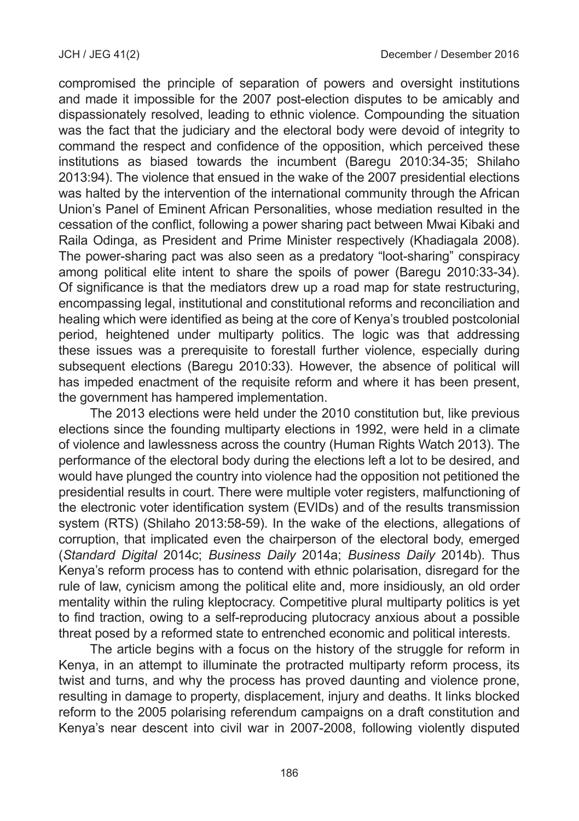compromised the principle of separation of powers and oversight institutions and made it impossible for the 2007 post-election disputes to be amicably and dispassionately resolved, leading to ethnic violence. Compounding the situation was the fact that the judiciary and the electoral body were devoid of integrity to command the respect and confidence of the opposition, which perceived these institutions as biased towards the incumbent (Baregu 2010:34-35; Shilaho 2013:94). The violence that ensued in the wake of the 2007 presidential elections was halted by the intervention of the international community through the African Union's Panel of Eminent African Personalities, whose mediation resulted in the cessation of the conflict, following a power sharing pact between Mwai Kibaki and Raila Odinga, as President and Prime Minister respectively (Khadiagala 2008). The power-sharing pact was also seen as a predatory "loot-sharing" conspiracy among political elite intent to share the spoils of power (Baregu 2010:33-34). Of significance is that the mediators drew up a road map for state restructuring, encompassing legal, institutional and constitutional reforms and reconciliation and healing which were identified as being at the core of Kenya's troubled postcolonial period, heightened under multiparty politics. The logic was that addressing these issues was a prerequisite to forestall further violence, especially during subsequent elections (Baregu 2010:33). However, the absence of political will has impeded enactment of the requisite reform and where it has been present, the government has hampered implementation.

The 2013 elections were held under the 2010 constitution but, like previous elections since the founding multiparty elections in 1992, were held in a climate of violence and lawlessness across the country (Human Rights Watch 2013). The performance of the electoral body during the elections left a lot to be desired, and would have plunged the country into violence had the opposition not petitioned the presidential results in court. There were multiple voter registers, malfunctioning of the electronic voter identification system (EVIDs) and of the results transmission system (RTS) (Shilaho 2013:58-59). In the wake of the elections, allegations of corruption, that implicated even the chairperson of the electoral body, emerged (*Standard Digital* 2014c; *Business Daily* 2014a; *Business Daily* 2014b). Thus Kenya's reform process has to contend with ethnic polarisation, disregard for the rule of law, cynicism among the political elite and, more insidiously, an old order mentality within the ruling kleptocracy. Competitive plural multiparty politics is yet to find traction, owing to a self-reproducing plutocracy anxious about a possible threat posed by a reformed state to entrenched economic and political interests.

The article begins with a focus on the history of the struggle for reform in Kenya, in an attempt to illuminate the protracted multiparty reform process, its twist and turns, and why the process has proved daunting and violence prone, resulting in damage to property, displacement, injury and deaths. It links blocked reform to the 2005 polarising referendum campaigns on a draft constitution and Kenya's near descent into civil war in 2007-2008, following violently disputed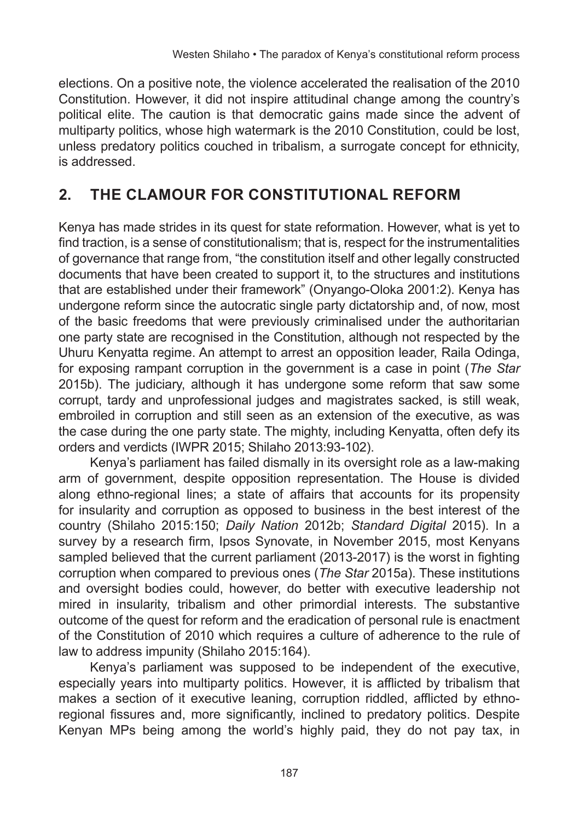elections. On a positive note, the violence accelerated the realisation of the 2010 Constitution. However, it did not inspire attitudinal change among the country's political elite. The caution is that democratic gains made since the advent of multiparty politics, whose high watermark is the 2010 Constitution, could be lost, unless predatory politics couched in tribalism, a surrogate concept for ethnicity, is addressed.

# **2. THE CLAMOUR FOR CONSTITUTIONAL REFORM**

Kenya has made strides in its quest for state reformation. However, what is yet to find traction, is a sense of constitutionalism; that is, respect for the instrumentalities of governance that range from, "the constitution itself and other legally constructed documents that have been created to support it, to the structures and institutions that are established under their framework" (Onyango-Oloka 2001:2). Kenya has undergone reform since the autocratic single party dictatorship and, of now, most of the basic freedoms that were previously criminalised under the authoritarian one party state are recognised in the Constitution, although not respected by the Uhuru Kenyatta regime. An attempt to arrest an opposition leader, Raila Odinga, for exposing rampant corruption in the government is a case in point (*The Star* 2015b). The judiciary, although it has undergone some reform that saw some corrupt, tardy and unprofessional judges and magistrates sacked, is still weak, embroiled in corruption and still seen as an extension of the executive, as was the case during the one party state. The mighty, including Kenyatta, often defy its orders and verdicts (IWPR 2015; Shilaho 2013:93-102).

Kenya's parliament has failed dismally in its oversight role as a law-making arm of government, despite opposition representation. The House is divided along ethno-regional lines; a state of affairs that accounts for its propensity for insularity and corruption as opposed to business in the best interest of the country (Shilaho 2015:150; *Daily Nation* 2012b; *Standard Digital* 2015). In a survey by a research firm, Ipsos Synovate, in November 2015, most Kenyans sampled believed that the current parliament (2013-2017) is the worst in fighting corruption when compared to previous ones (*The Star* 2015a). These institutions and oversight bodies could, however, do better with executive leadership not mired in insularity, tribalism and other primordial interests. The substantive outcome of the quest for reform and the eradication of personal rule is enactment of the Constitution of 2010 which requires a culture of adherence to the rule of law to address impunity (Shilaho 2015:164).

Kenya's parliament was supposed to be independent of the executive, especially years into multiparty politics. However, it is afflicted by tribalism that makes a section of it executive leaning, corruption riddled, afflicted by ethnoregional fissures and, more significantly, inclined to predatory politics. Despite Kenyan MPs being among the world's highly paid, they do not pay tax, in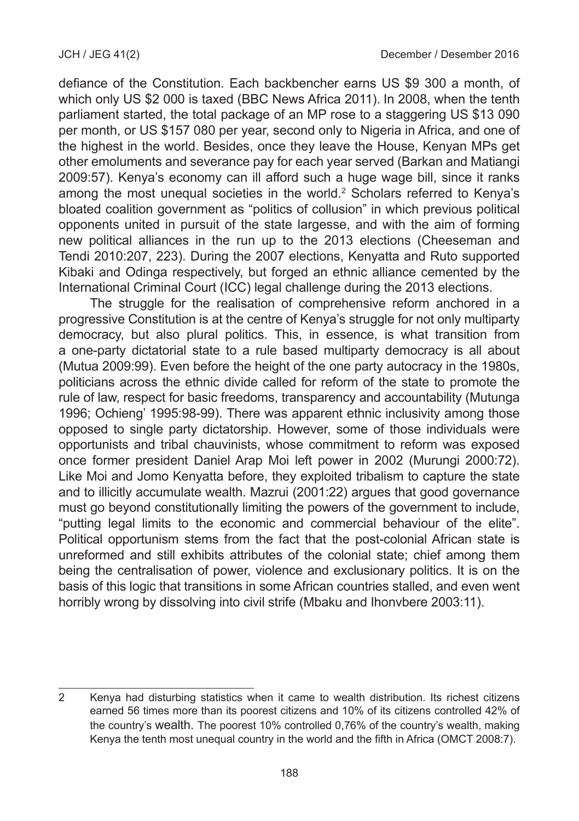defiance of the Constitution. Each backbencher earns US \$9 300 a month, of which only US \$2 000 is taxed (BBC News Africa 2011). In 2008, when the tenth parliament started, the total package of an MP rose to a staggering US \$13 090 per month, or US \$157 080 per year, second only to Nigeria in Africa, and one of the highest in the world. Besides, once they leave the House, Kenyan MPs get other emoluments and severance pay for each year served (Barkan and Matiangi 2009:57). Kenya's economy can ill afford such a huge wage bill, since it ranks among the most unequal societies in the world.<sup>2</sup> Scholars referred to Kenya's bloated coalition government as "politics of collusion" in which previous political opponents united in pursuit of the state largesse, and with the aim of forming new political alliances in the run up to the 2013 elections (Cheeseman and Tendi 2010:207, 223). During the 2007 elections, Kenyatta and Ruto supported Kibaki and Odinga respectively, but forged an ethnic alliance cemented by the International Criminal Court (ICC) legal challenge during the 2013 elections.

The struggle for the realisation of comprehensive reform anchored in a progressive Constitution is at the centre of Kenya's struggle for not only multiparty democracy, but also plural politics. This, in essence, is what transition from a one-party dictatorial state to a rule based multiparty democracy is all about (Mutua 2009:99). Even before the height of the one party autocracy in the 1980s, politicians across the ethnic divide called for reform of the state to promote the rule of law, respect for basic freedoms, transparency and accountability (Mutunga 1996; Ochieng' 1995:98-99). There was apparent ethnic inclusivity among those opposed to single party dictatorship. However, some of those individuals were opportunists and tribal chauvinists, whose commitment to reform was exposed once former president Daniel Arap Moi left power in 2002 (Murungi 2000:72). Like Moi and Jomo Kenyatta before, they exploited tribalism to capture the state and to illicitly accumulate wealth. Mazrui (2001:22) argues that good governance must go beyond constitutionally limiting the powers of the government to include, "putting legal limits to the economic and commercial behaviour of the elite". Political opportunism stems from the fact that the post-colonial African state is unreformed and still exhibits attributes of the colonial state; chief among them being the centralisation of power, violence and exclusionary politics. It is on the basis of this logic that transitions in some African countries stalled, and even went horribly wrong by dissolving into civil strife (Mbaku and Ihonvbere 2003:11).

<sup>2</sup> Kenya had disturbing statistics when it came to wealth distribution. Its richest citizens earned 56 times more than its poorest citizens and 10% of its citizens controlled 42% of the country's wealth. The poorest 10% controlled 0,76% of the country's wealth, making Kenya the tenth most unequal country in the world and the fifth in Africa (OMCT 2008:7).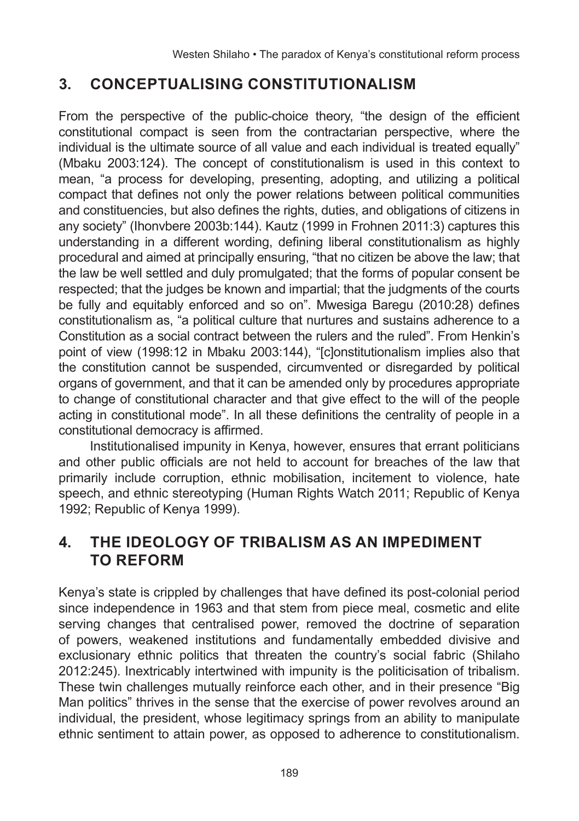# **3. CONCEPTUALISING CONSTITUTIONALISM**

From the perspective of the public-choice theory, "the design of the efficient constitutional compact is seen from the contractarian perspective, where the individual is the ultimate source of all value and each individual is treated equally" (Mbaku 2003:124). The concept of constitutionalism is used in this context to mean, "a process for developing, presenting, adopting, and utilizing a political compact that defines not only the power relations between political communities and constituencies, but also defines the rights, duties, and obligations of citizens in any society" (Ihonvbere 2003b:144). Kautz (1999 in Frohnen 2011:3) captures this understanding in a different wording, defining liberal constitutionalism as highly procedural and aimed at principally ensuring, "that no citizen be above the law; that the law be well settled and duly promulgated; that the forms of popular consent be respected; that the judges be known and impartial; that the judgments of the courts be fully and equitably enforced and so on". Mwesiga Baregu (2010:28) defines constitutionalism as, "a political culture that nurtures and sustains adherence to a Constitution as a social contract between the rulers and the ruled". From Henkin's point of view (1998:12 in Mbaku 2003:144), "[c]onstitutionalism implies also that the constitution cannot be suspended, circumvented or disregarded by political organs of government, and that it can be amended only by procedures appropriate to change of constitutional character and that give effect to the will of the people acting in constitutional mode". In all these definitions the centrality of people in a constitutional democracy is affirmed.

Institutionalised impunity in Kenya, however, ensures that errant politicians and other public officials are not held to account for breaches of the law that primarily include corruption, ethnic mobilisation, incitement to violence, hate speech, and ethnic stereotyping (Human Rights Watch 2011; Republic of Kenya 1992; Republic of Kenya 1999).

#### **4. THE IDEOLOGY OF TRIBALISM AS AN IMPEDIMENT TO REFORM**

Kenya's state is crippled by challenges that have defined its post-colonial period since independence in 1963 and that stem from piece meal, cosmetic and elite serving changes that centralised power, removed the doctrine of separation of powers, weakened institutions and fundamentally embedded divisive and exclusionary ethnic politics that threaten the country's social fabric (Shilaho 2012:245). Inextricably intertwined with impunity is the politicisation of tribalism. These twin challenges mutually reinforce each other, and in their presence "Big Man politics" thrives in the sense that the exercise of power revolves around an individual, the president, whose legitimacy springs from an ability to manipulate ethnic sentiment to attain power, as opposed to adherence to constitutionalism.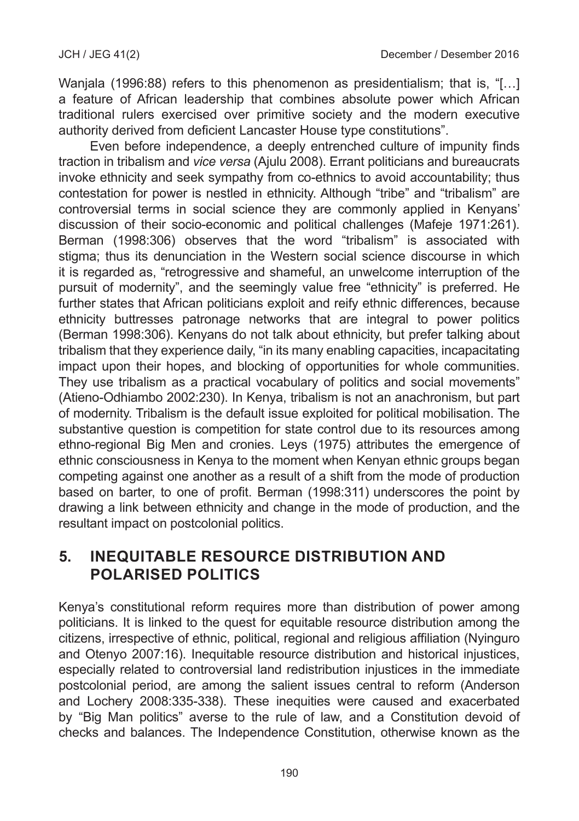Wanjala (1996:88) refers to this phenomenon as presidentialism; that is, "[...] a feature of African leadership that combines absolute power which African traditional rulers exercised over primitive society and the modern executive authority derived from deficient Lancaster House type constitutions".

Even before independence, a deeply entrenched culture of impunity finds traction in tribalism and *vice versa* (Ajulu 2008). Errant politicians and bureaucrats invoke ethnicity and seek sympathy from co-ethnics to avoid accountability; thus contestation for power is nestled in ethnicity. Although "tribe" and "tribalism" are controversial terms in social science they are commonly applied in Kenyans' discussion of their socio-economic and political challenges (Mafeje 1971:261). Berman (1998:306) observes that the word "tribalism" is associated with stigma; thus its denunciation in the Western social science discourse in which it is regarded as, "retrogressive and shameful, an unwelcome interruption of the pursuit of modernity", and the seemingly value free "ethnicity" is preferred. He further states that African politicians exploit and reify ethnic differences, because ethnicity buttresses patronage networks that are integral to power politics (Berman 1998:306). Kenyans do not talk about ethnicity, but prefer talking about tribalism that they experience daily, "in its many enabling capacities, incapacitating impact upon their hopes, and blocking of opportunities for whole communities. They use tribalism as a practical vocabulary of politics and social movements" (Atieno-Odhiambo 2002:230). In Kenya, tribalism is not an anachronism, but part of modernity. Tribalism is the default issue exploited for political mobilisation. The substantive question is competition for state control due to its resources among ethno-regional Big Men and cronies. Leys (1975) attributes the emergence of ethnic consciousness in Kenya to the moment when Kenyan ethnic groups began competing against one another as a result of a shift from the mode of production based on barter, to one of profit. Berman (1998:311) underscores the point by drawing a link between ethnicity and change in the mode of production, and the resultant impact on postcolonial politics.

#### **5. INEQUITABLE RESOURCE DISTRIBUTION AND POLARISED POLITICS**

Kenya's constitutional reform requires more than distribution of power among politicians. It is linked to the quest for equitable resource distribution among the citizens, irrespective of ethnic, political, regional and religious affiliation (Nyinguro and Otenyo 2007:16). Inequitable resource distribution and historical injustices, especially related to controversial land redistribution injustices in the immediate postcolonial period, are among the salient issues central to reform (Anderson and Lochery 2008:335-338). These inequities were caused and exacerbated by "Big Man politics" averse to the rule of law, and a Constitution devoid of checks and balances. The Independence Constitution, otherwise known as the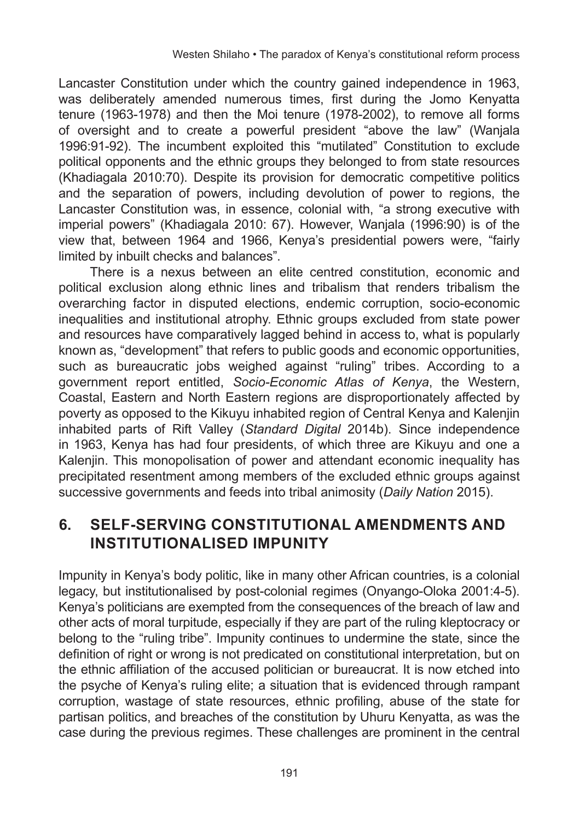Lancaster Constitution under which the country gained independence in 1963, was deliberately amended numerous times, first during the Jomo Kenyatta tenure (1963-1978) and then the Moi tenure (1978-2002), to remove all forms of oversight and to create a powerful president "above the law" (Wanjala 1996:91-92). The incumbent exploited this "mutilated" Constitution to exclude political opponents and the ethnic groups they belonged to from state resources (Khadiagala 2010:70). Despite its provision for democratic competitive politics and the separation of powers, including devolution of power to regions, the Lancaster Constitution was, in essence, colonial with, "a strong executive with imperial powers" (Khadiagala 2010: 67). However, Wanjala (1996:90) is of the view that, between 1964 and 1966, Kenya's presidential powers were, "fairly limited by inbuilt checks and balances".

There is a nexus between an elite centred constitution, economic and political exclusion along ethnic lines and tribalism that renders tribalism the overarching factor in disputed elections, endemic corruption, socio-economic inequalities and institutional atrophy. Ethnic groups excluded from state power and resources have comparatively lagged behind in access to, what is popularly known as, "development" that refers to public goods and economic opportunities, such as bureaucratic jobs weighed against "ruling" tribes. According to a government report entitled, *Socio-Economic Atlas of Kenya*, the Western, Coastal, Eastern and North Eastern regions are disproportionately affected by poverty as opposed to the Kikuyu inhabited region of Central Kenya and Kalenjin inhabited parts of Rift Valley (*Standard Digital* 2014b). Since independence in 1963, Kenya has had four presidents, of which three are Kikuyu and one a Kalenjin. This monopolisation of power and attendant economic inequality has precipitated resentment among members of the excluded ethnic groups against successive governments and feeds into tribal animosity (*Daily Nation* 2015).

## **6. SELF-SERVING CONSTITUTIONAL AMENDMENTS AND INSTITUTIONALISED IMPUNITY**

Impunity in Kenya's body politic, like in many other African countries, is a colonial legacy, but institutionalised by post-colonial regimes (Onyango-Oloka 2001:4-5). Kenya's politicians are exempted from the consequences of the breach of law and other acts of moral turpitude, especially if they are part of the ruling kleptocracy or belong to the "ruling tribe". Impunity continues to undermine the state, since the definition of right or wrong is not predicated on constitutional interpretation, but on the ethnic affiliation of the accused politician or bureaucrat. It is now etched into the psyche of Kenya's ruling elite; a situation that is evidenced through rampant corruption, wastage of state resources, ethnic profiling, abuse of the state for partisan politics, and breaches of the constitution by Uhuru Kenyatta, as was the case during the previous regimes. These challenges are prominent in the central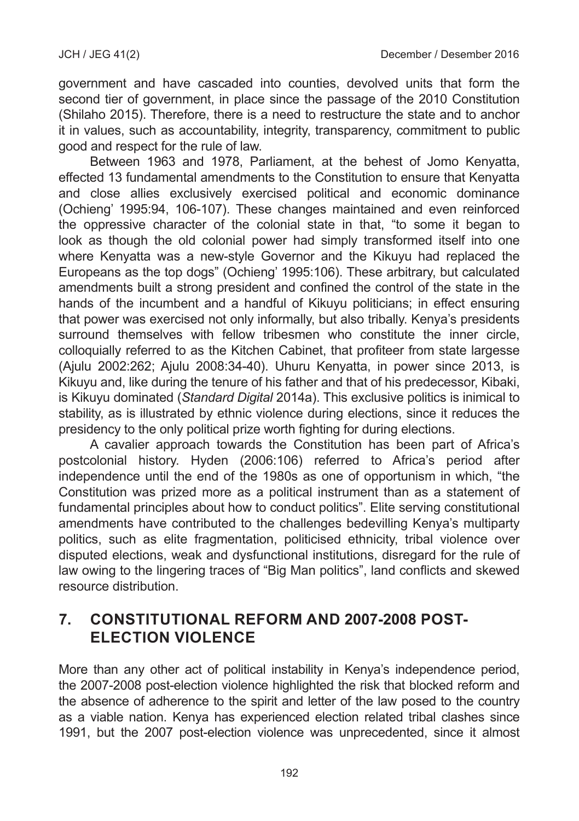government and have cascaded into counties, devolved units that form the second tier of government, in place since the passage of the 2010 Constitution (Shilaho 2015). Therefore, there is a need to restructure the state and to anchor it in values, such as accountability, integrity, transparency, commitment to public good and respect for the rule of law.

Between 1963 and 1978, Parliament, at the behest of Jomo Kenyatta, effected 13 fundamental amendments to the Constitution to ensure that Kenyatta and close allies exclusively exercised political and economic dominance (Ochieng' 1995:94, 106-107). These changes maintained and even reinforced the oppressive character of the colonial state in that, "to some it began to look as though the old colonial power had simply transformed itself into one where Kenyatta was a new-style Governor and the Kikuyu had replaced the Europeans as the top dogs" (Ochieng' 1995:106). These arbitrary, but calculated amendments built a strong president and confined the control of the state in the hands of the incumbent and a handful of Kikuyu politicians; in effect ensuring that power was exercised not only informally, but also tribally. Kenya's presidents surround themselves with fellow tribesmen who constitute the inner circle, colloquially referred to as the Kitchen Cabinet, that profiteer from state largesse (Ajulu 2002:262; Ajulu 2008:34-40). Uhuru Kenyatta, in power since 2013, is Kikuyu and, like during the tenure of his father and that of his predecessor, Kibaki, is Kikuyu dominated (*Standard Digital* 2014a). This exclusive politics is inimical to stability, as is illustrated by ethnic violence during elections, since it reduces the presidency to the only political prize worth fighting for during elections.

A cavalier approach towards the Constitution has been part of Africa's postcolonial history. Hyden (2006:106) referred to Africa's period after independence until the end of the 1980s as one of opportunism in which, "the Constitution was prized more as a political instrument than as a statement of fundamental principles about how to conduct politics". Elite serving constitutional amendments have contributed to the challenges bedevilling Kenya's multiparty politics, such as elite fragmentation, politicised ethnicity, tribal violence over disputed elections, weak and dysfunctional institutions, disregard for the rule of law owing to the lingering traces of "Big Man politics", land conflicts and skewed resource distribution.

#### **7. CONSTITUTIONAL REFORM AND 2007-2008 POST-ELECTION VIOLENCE**

More than any other act of political instability in Kenya's independence period, the 2007-2008 post-election violence highlighted the risk that blocked reform and the absence of adherence to the spirit and letter of the law posed to the country as a viable nation. Kenya has experienced election related tribal clashes since 1991, but the 2007 post-election violence was unprecedented, since it almost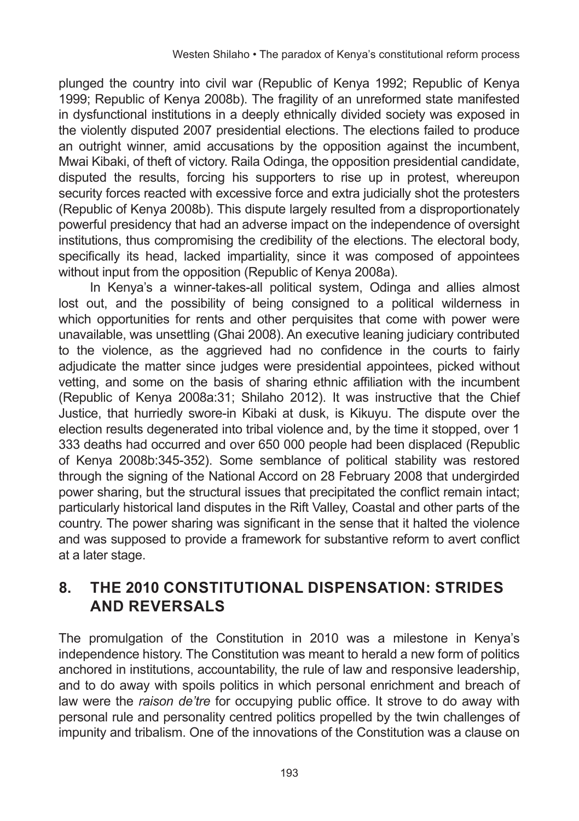plunged the country into civil war (Republic of Kenya 1992; Republic of Kenya 1999; Republic of Kenya 2008b). The fragility of an unreformed state manifested in dysfunctional institutions in a deeply ethnically divided society was exposed in the violently disputed 2007 presidential elections. The elections failed to produce an outright winner, amid accusations by the opposition against the incumbent, Mwai Kibaki, of theft of victory. Raila Odinga, the opposition presidential candidate, disputed the results, forcing his supporters to rise up in protest, whereupon security forces reacted with excessive force and extra judicially shot the protesters (Republic of Kenya 2008b). This dispute largely resulted from a disproportionately powerful presidency that had an adverse impact on the independence of oversight institutions, thus compromising the credibility of the elections. The electoral body, specifically its head, lacked impartiality, since it was composed of appointees without input from the opposition (Republic of Kenya 2008a).

In Kenya's a winner-takes-all political system, Odinga and allies almost lost out, and the possibility of being consigned to a political wilderness in which opportunities for rents and other perquisites that come with power were unavailable, was unsettling (Ghai 2008). An executive leaning judiciary contributed to the violence, as the aggrieved had no confidence in the courts to fairly adjudicate the matter since judges were presidential appointees, picked without vetting, and some on the basis of sharing ethnic affiliation with the incumbent (Republic of Kenya 2008a:31; Shilaho 2012). It was instructive that the Chief Justice, that hurriedly swore-in Kibaki at dusk, is Kikuyu. The dispute over the election results degenerated into tribal violence and, by the time it stopped, over 1 333 deaths had occurred and over 650 000 people had been displaced (Republic of Kenya 2008b:345-352). Some semblance of political stability was restored through the signing of the National Accord on 28 February 2008 that undergirded power sharing, but the structural issues that precipitated the conflict remain intact; particularly historical land disputes in the Rift Valley, Coastal and other parts of the country. The power sharing was significant in the sense that it halted the violence and was supposed to provide a framework for substantive reform to avert conflict at a later stage.

#### **8. THE 2010 CONSTITUTIONAL DISPENSATION: STRIDES AND REVERSALS**

The promulgation of the Constitution in 2010 was a milestone in Kenya's independence history. The Constitution was meant to herald a new form of politics anchored in institutions, accountability, the rule of law and responsive leadership, and to do away with spoils politics in which personal enrichment and breach of law were the *raison de'tre* for occupying public office. It strove to do away with personal rule and personality centred politics propelled by the twin challenges of impunity and tribalism. One of the innovations of the Constitution was a clause on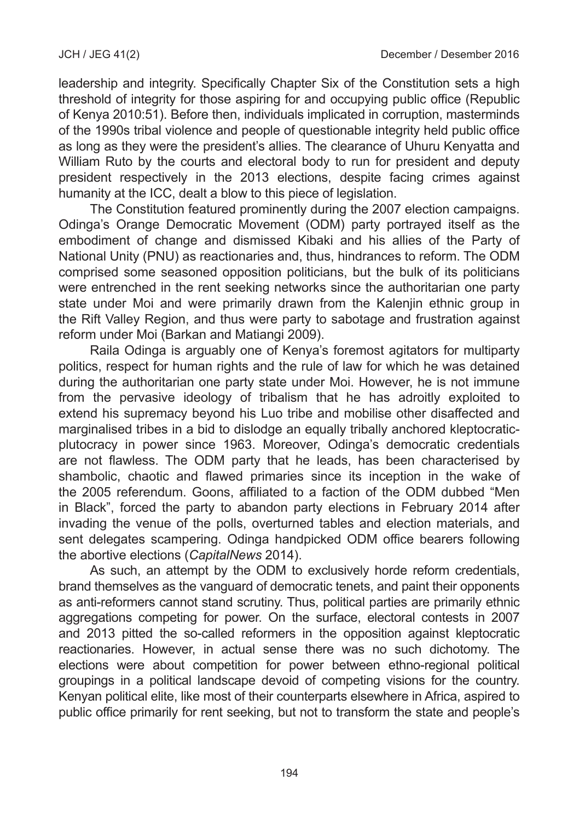leadership and integrity. Specifically Chapter Six of the Constitution sets a high threshold of integrity for those aspiring for and occupying public office (Republic of Kenya 2010:51). Before then, individuals implicated in corruption, masterminds of the 1990s tribal violence and people of questionable integrity held public office as long as they were the president's allies. The clearance of Uhuru Kenyatta and William Ruto by the courts and electoral body to run for president and deputy president respectively in the 2013 elections, despite facing crimes against humanity at the ICC, dealt a blow to this piece of legislation.

The Constitution featured prominently during the 2007 election campaigns. Odinga's Orange Democratic Movement (ODM) party portrayed itself as the embodiment of change and dismissed Kibaki and his allies of the Party of National Unity (PNU) as reactionaries and, thus, hindrances to reform. The ODM comprised some seasoned opposition politicians, but the bulk of its politicians were entrenched in the rent seeking networks since the authoritarian one party state under Moi and were primarily drawn from the Kalenjin ethnic group in the Rift Valley Region, and thus were party to sabotage and frustration against reform under Moi (Barkan and Matiangi 2009).

Raila Odinga is arguably one of Kenya's foremost agitators for multiparty politics, respect for human rights and the rule of law for which he was detained during the authoritarian one party state under Moi. However, he is not immune from the pervasive ideology of tribalism that he has adroitly exploited to extend his supremacy beyond his Luo tribe and mobilise other disaffected and marginalised tribes in a bid to dislodge an equally tribally anchored kleptocraticplutocracy in power since 1963. Moreover, Odinga's democratic credentials are not flawless. The ODM party that he leads, has been characterised by shambolic, chaotic and flawed primaries since its inception in the wake of the 2005 referendum. Goons, affiliated to a faction of the ODM dubbed "Men in Black", forced the party to abandon party elections in February 2014 after invading the venue of the polls, overturned tables and election materials, and sent delegates scampering. Odinga handpicked ODM office bearers following the abortive elections (*CapitalNews* 2014).

As such, an attempt by the ODM to exclusively horde reform credentials, brand themselves as the vanguard of democratic tenets, and paint their opponents as anti-reformers cannot stand scrutiny. Thus, political parties are primarily ethnic aggregations competing for power. On the surface, electoral contests in 2007 and 2013 pitted the so-called reformers in the opposition against kleptocratic reactionaries. However, in actual sense there was no such dichotomy. The elections were about competition for power between ethno-regional political groupings in a political landscape devoid of competing visions for the country. Kenyan political elite, like most of their counterparts elsewhere in Africa, aspired to public office primarily for rent seeking, but not to transform the state and people's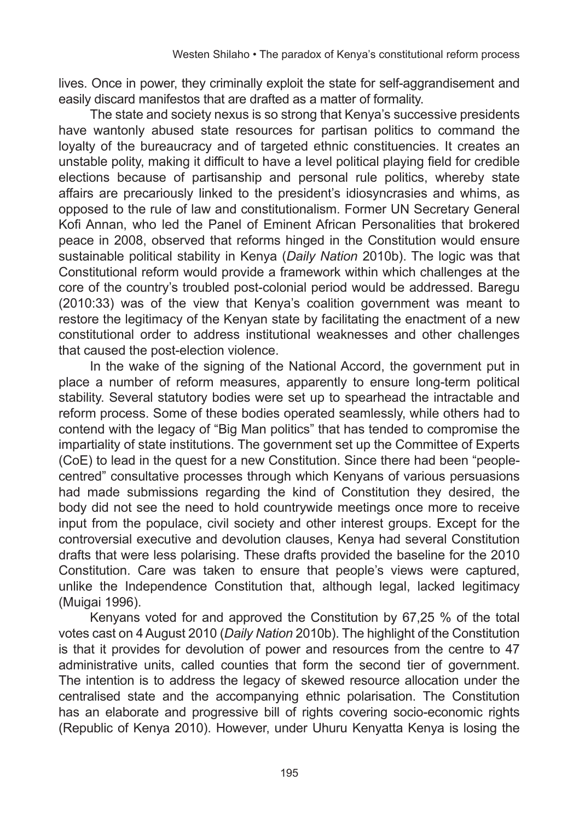lives. Once in power, they criminally exploit the state for self-aggrandisement and easily discard manifestos that are drafted as a matter of formality.

The state and society nexus is so strong that Kenya's successive presidents have wantonly abused state resources for partisan politics to command the loyalty of the bureaucracy and of targeted ethnic constituencies. It creates an unstable polity, making it difficult to have a level political playing field for credible elections because of partisanship and personal rule politics, whereby state affairs are precariously linked to the president's idiosyncrasies and whims, as opposed to the rule of law and constitutionalism. Former UN Secretary General Kofi Annan, who led the Panel of Eminent African Personalities that brokered peace in 2008, observed that reforms hinged in the Constitution would ensure sustainable political stability in Kenya (*Daily Nation* 2010b). The logic was that Constitutional reform would provide a framework within which challenges at the core of the country's troubled post-colonial period would be addressed. Baregu (2010:33) was of the view that Kenya's coalition government was meant to restore the legitimacy of the Kenyan state by facilitating the enactment of a new constitutional order to address institutional weaknesses and other challenges that caused the post-election violence.

In the wake of the signing of the National Accord, the government put in place a number of reform measures, apparently to ensure long-term political stability. Several statutory bodies were set up to spearhead the intractable and reform process. Some of these bodies operated seamlessly, while others had to contend with the legacy of "Big Man politics" that has tended to compromise the impartiality of state institutions. The government set up the Committee of Experts (CoE) to lead in the quest for a new Constitution. Since there had been "peoplecentred" consultative processes through which Kenyans of various persuasions had made submissions regarding the kind of Constitution they desired, the body did not see the need to hold countrywide meetings once more to receive input from the populace, civil society and other interest groups. Except for the controversial executive and devolution clauses, Kenya had several Constitution drafts that were less polarising. These drafts provided the baseline for the 2010 Constitution. Care was taken to ensure that people's views were captured, unlike the Independence Constitution that, although legal, lacked legitimacy (Muigai 1996).

Kenyans voted for and approved the Constitution by 67,25 % of the total votes cast on 4 August 2010 (*Daily Nation* 2010b). The highlight of the Constitution is that it provides for devolution of power and resources from the centre to 47 administrative units, called counties that form the second tier of government. The intention is to address the legacy of skewed resource allocation under the centralised state and the accompanying ethnic polarisation. The Constitution has an elaborate and progressive bill of rights covering socio-economic rights (Republic of Kenya 2010). However, under Uhuru Kenyatta Kenya is losing the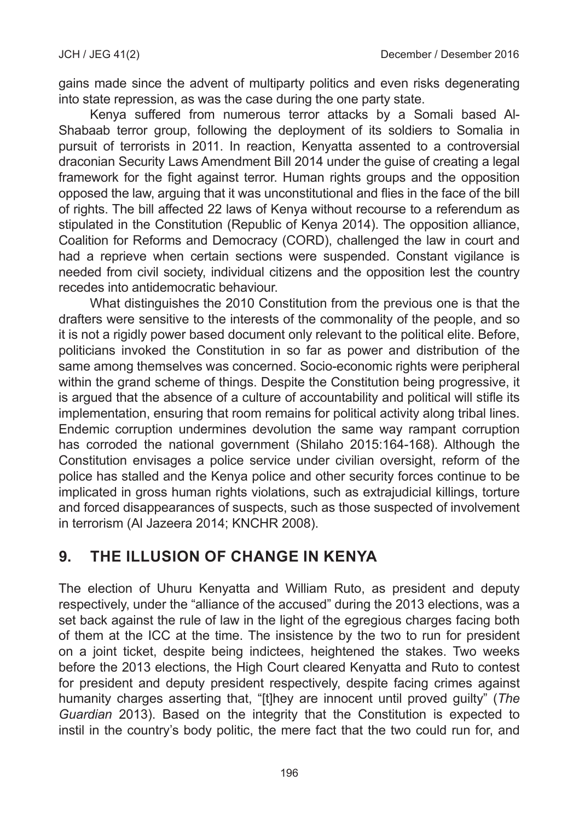gains made since the advent of multiparty politics and even risks degenerating into state repression, as was the case during the one party state.

Kenya suffered from numerous terror attacks by a Somali based Al-Shabaab terror group, following the deployment of its soldiers to Somalia in pursuit of terrorists in 2011. In reaction, Kenyatta assented to a controversial draconian Security Laws Amendment Bill 2014 under the guise of creating a legal framework for the fight against terror. Human rights groups and the opposition opposed the law, arguing that it was unconstitutional and flies in the face of the bill of rights. The bill affected 22 laws of Kenya without recourse to a referendum as stipulated in the Constitution (Republic of Kenya 2014). The opposition alliance, Coalition for Reforms and Democracy (CORD), challenged the law in court and had a reprieve when certain sections were suspended. Constant vigilance is needed from civil society, individual citizens and the opposition lest the country recedes into antidemocratic behaviour.

What distinguishes the 2010 Constitution from the previous one is that the drafters were sensitive to the interests of the commonality of the people, and so it is not a rigidly power based document only relevant to the political elite. Before, politicians invoked the Constitution in so far as power and distribution of the same among themselves was concerned. Socio-economic rights were peripheral within the grand scheme of things. Despite the Constitution being progressive, it is argued that the absence of a culture of accountability and political will stifle its implementation, ensuring that room remains for political activity along tribal lines. Endemic corruption undermines devolution the same way rampant corruption has corroded the national government (Shilaho 2015:164-168). Although the Constitution envisages a police service under civilian oversight, reform of the police has stalled and the Kenya police and other security forces continue to be implicated in gross human rights violations, such as extrajudicial killings, torture and forced disappearances of suspects, such as those suspected of involvement in terrorism (Al Jazeera 2014; KNCHR 2008).

#### **9. THE ILLUSION OF CHANGE IN KENYA**

The election of Uhuru Kenyatta and William Ruto, as president and deputy respectively, under the "alliance of the accused" during the 2013 elections, was a set back against the rule of law in the light of the egregious charges facing both of them at the ICC at the time. The insistence by the two to run for president on a joint ticket, despite being indictees, heightened the stakes. Two weeks before the 2013 elections, the High Court cleared Kenyatta and Ruto to contest for president and deputy president respectively, despite facing crimes against humanity charges asserting that, "[t]hey are innocent until proved guilty" (*The Guardian* 2013). Based on the integrity that the Constitution is expected to instil in the country's body politic, the mere fact that the two could run for, and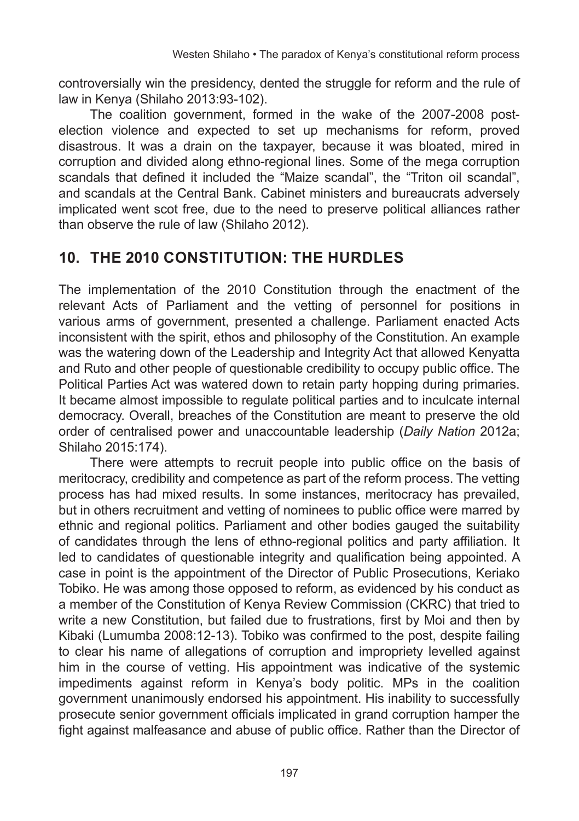controversially win the presidency, dented the struggle for reform and the rule of law in Kenya (Shilaho 2013:93-102).

The coalition government, formed in the wake of the 2007-2008 postelection violence and expected to set up mechanisms for reform, proved disastrous. It was a drain on the taxpayer, because it was bloated, mired in corruption and divided along ethno-regional lines. Some of the mega corruption scandals that defined it included the "Maize scandal", the "Triton oil scandal", and scandals at the Central Bank. Cabinet ministers and bureaucrats adversely implicated went scot free, due to the need to preserve political alliances rather than observe the rule of law (Shilaho 2012).

## **10. THE 2010 CONSTITUTION: THE HURDLES**

The implementation of the 2010 Constitution through the enactment of the relevant Acts of Parliament and the vetting of personnel for positions in various arms of government, presented a challenge. Parliament enacted Acts inconsistent with the spirit, ethos and philosophy of the Constitution. An example was the watering down of the Leadership and Integrity Act that allowed Kenyatta and Ruto and other people of questionable credibility to occupy public office. The Political Parties Act was watered down to retain party hopping during primaries. It became almost impossible to regulate political parties and to inculcate internal democracy. Overall, breaches of the Constitution are meant to preserve the old order of centralised power and unaccountable leadership (*Daily Nation* 2012a; Shilaho 2015:174).

There were attempts to recruit people into public office on the basis of meritocracy, credibility and competence as part of the reform process. The vetting process has had mixed results. In some instances, meritocracy has prevailed, but in others recruitment and vetting of nominees to public office were marred by ethnic and regional politics. Parliament and other bodies gauged the suitability of candidates through the lens of ethno-regional politics and party affiliation. It led to candidates of questionable integrity and qualification being appointed. A case in point is the appointment of the Director of Public Prosecutions, Keriako Tobiko. He was among those opposed to reform, as evidenced by his conduct as a member of the Constitution of Kenya Review Commission (CKRC) that tried to write a new Constitution, but failed due to frustrations, first by Moi and then by Kibaki (Lumumba 2008:12-13). Tobiko was confirmed to the post, despite failing to clear his name of allegations of corruption and impropriety levelled against him in the course of vetting. His appointment was indicative of the systemic impediments against reform in Kenya's body politic. MPs in the coalition government unanimously endorsed his appointment. His inability to successfully prosecute senior government officials implicated in grand corruption hamper the fight against malfeasance and abuse of public office. Rather than the Director of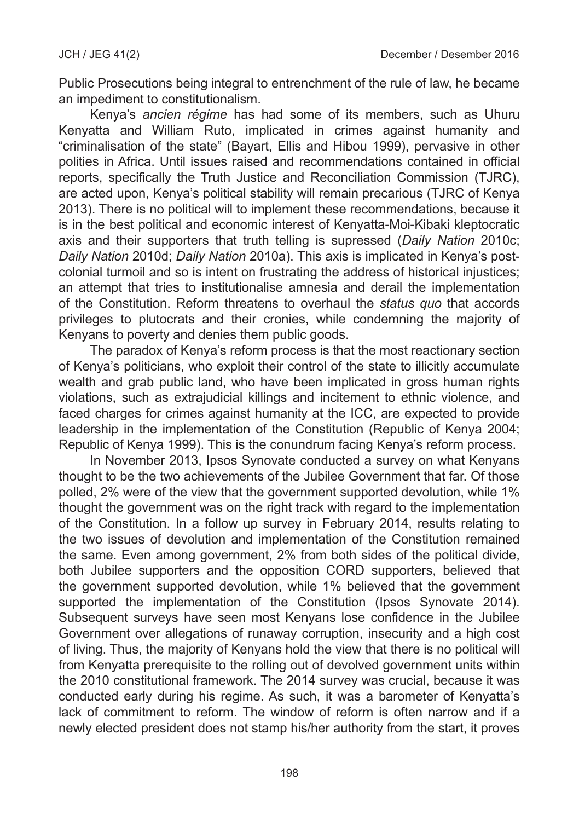Public Prosecutions being integral to entrenchment of the rule of law, he became an impediment to constitutionalism.

Kenya's *ancien régime* has had some of its members, such as Uhuru Kenyatta and William Ruto, implicated in crimes against humanity and "criminalisation of the state" (Bayart, Ellis and Hibou 1999), pervasive in other polities in Africa. Until issues raised and recommendations contained in official reports, specifically the Truth Justice and Reconciliation Commission (TJRC), are acted upon, Kenya's political stability will remain precarious (TJRC of Kenya 2013). There is no political will to implement these recommendations, because it is in the best political and economic interest of Kenyatta-Moi-Kibaki kleptocratic axis and their supporters that truth telling is supressed (*Daily Nation* 2010c; *Daily Nation* 2010d; *Daily Nation* 2010a). This axis is implicated in Kenya's postcolonial turmoil and so is intent on frustrating the address of historical injustices; an attempt that tries to institutionalise amnesia and derail the implementation of the Constitution. Reform threatens to overhaul the *status quo* that accords privileges to plutocrats and their cronies, while condemning the majority of Kenyans to poverty and denies them public goods.

The paradox of Kenya's reform process is that the most reactionary section of Kenya's politicians, who exploit their control of the state to illicitly accumulate wealth and grab public land, who have been implicated in gross human rights violations, such as extrajudicial killings and incitement to ethnic violence, and faced charges for crimes against humanity at the ICC, are expected to provide leadership in the implementation of the Constitution (Republic of Kenya 2004; Republic of Kenya 1999). This is the conundrum facing Kenya's reform process.

In November 2013, Ipsos Synovate conducted a survey on what Kenyans thought to be the two achievements of the Jubilee Government that far. Of those polled, 2% were of the view that the government supported devolution, while 1% thought the government was on the right track with regard to the implementation of the Constitution. In a follow up survey in February 2014, results relating to the two issues of devolution and implementation of the Constitution remained the same. Even among government, 2% from both sides of the political divide, both Jubilee supporters and the opposition CORD supporters, believed that the government supported devolution, while 1% believed that the government supported the implementation of the Constitution (Ipsos Synovate 2014). Subsequent surveys have seen most Kenyans lose confidence in the Jubilee Government over allegations of runaway corruption, insecurity and a high cost of living. Thus, the majority of Kenyans hold the view that there is no political will from Kenyatta prerequisite to the rolling out of devolved government units within the 2010 constitutional framework. The 2014 survey was crucial, because it was conducted early during his regime. As such, it was a barometer of Kenyatta's lack of commitment to reform. The window of reform is often narrow and if a newly elected president does not stamp his/her authority from the start, it proves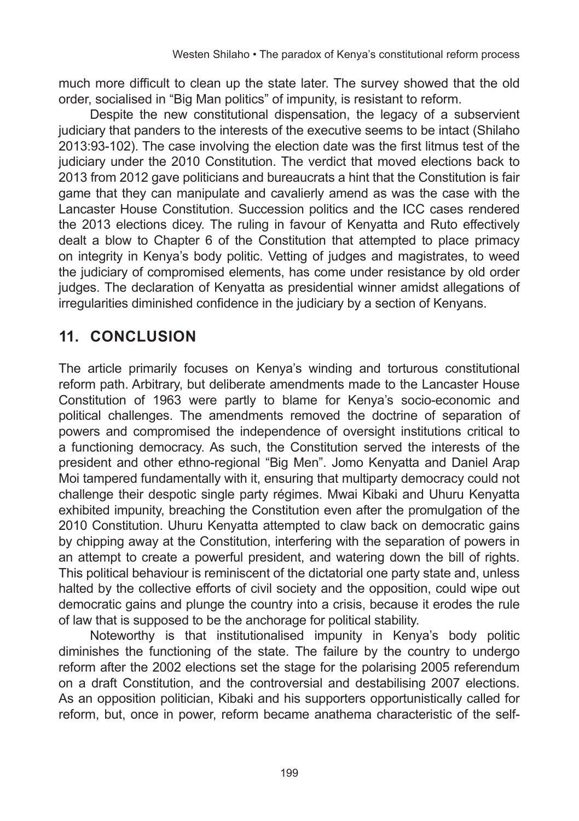much more difficult to clean up the state later. The survey showed that the old order, socialised in "Big Man politics" of impunity, is resistant to reform.

Despite the new constitutional dispensation, the legacy of a subservient judiciary that panders to the interests of the executive seems to be intact (Shilaho 2013:93-102). The case involving the election date was the first litmus test of the judiciary under the 2010 Constitution. The verdict that moved elections back to 2013 from 2012 gave politicians and bureaucrats a hint that the Constitution is fair game that they can manipulate and cavalierly amend as was the case with the Lancaster House Constitution. Succession politics and the ICC cases rendered the 2013 elections dicey. The ruling in favour of Kenyatta and Ruto effectively dealt a blow to Chapter 6 of the Constitution that attempted to place primacy on integrity in Kenya's body politic. Vetting of judges and magistrates, to weed the judiciary of compromised elements, has come under resistance by old order judges. The declaration of Kenyatta as presidential winner amidst allegations of irregularities diminished confidence in the judiciary by a section of Kenyans.

#### **11. CONCLUSION**

The article primarily focuses on Kenya's winding and torturous constitutional reform path. Arbitrary, but deliberate amendments made to the Lancaster House Constitution of 1963 were partly to blame for Kenya's socio-economic and political challenges. The amendments removed the doctrine of separation of powers and compromised the independence of oversight institutions critical to a functioning democracy. As such, the Constitution served the interests of the president and other ethno-regional "Big Men". Jomo Kenyatta and Daniel Arap Moi tampered fundamentally with it, ensuring that multiparty democracy could not challenge their despotic single party régimes. Mwai Kibaki and Uhuru Kenyatta exhibited impunity, breaching the Constitution even after the promulgation of the 2010 Constitution. Uhuru Kenyatta attempted to claw back on democratic gains by chipping away at the Constitution, interfering with the separation of powers in an attempt to create a powerful president, and watering down the bill of rights. This political behaviour is reminiscent of the dictatorial one party state and, unless halted by the collective efforts of civil society and the opposition, could wipe out democratic gains and plunge the country into a crisis, because it erodes the rule of law that is supposed to be the anchorage for political stability.

Noteworthy is that institutionalised impunity in Kenya's body politic diminishes the functioning of the state. The failure by the country to undergo reform after the 2002 elections set the stage for the polarising 2005 referendum on a draft Constitution, and the controversial and destabilising 2007 elections. As an opposition politician, Kibaki and his supporters opportunistically called for reform, but, once in power, reform became anathema characteristic of the self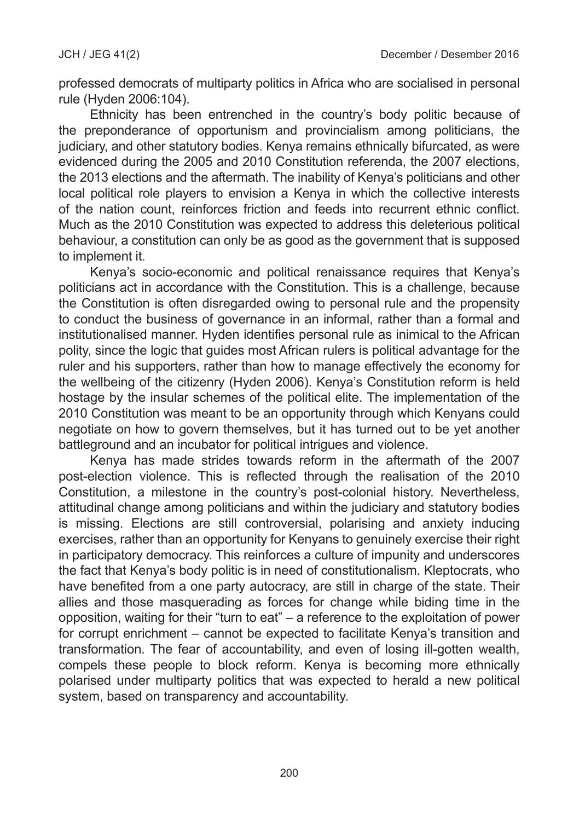professed democrats of multiparty politics in Africa who are socialised in personal rule (Hyden 2006:104).

Ethnicity has been entrenched in the country's body politic because of the preponderance of opportunism and provincialism among politicians, the judiciary, and other statutory bodies. Kenya remains ethnically bifurcated, as were evidenced during the 2005 and 2010 Constitution referenda, the 2007 elections, the 2013 elections and the aftermath. The inability of Kenya's politicians and other local political role players to envision a Kenya in which the collective interests of the nation count, reinforces friction and feeds into recurrent ethnic conflict. Much as the 2010 Constitution was expected to address this deleterious political behaviour, a constitution can only be as good as the government that is supposed to implement it.

Kenya's socio-economic and political renaissance requires that Kenya's politicians act in accordance with the Constitution. This is a challenge, because the Constitution is often disregarded owing to personal rule and the propensity to conduct the business of governance in an informal, rather than a formal and institutionalised manner. Hyden identifies personal rule as inimical to the African polity, since the logic that guides most African rulers is political advantage for the ruler and his supporters, rather than how to manage effectively the economy for the wellbeing of the citizenry (Hyden 2006). Kenya's Constitution reform is held hostage by the insular schemes of the political elite. The implementation of the 2010 Constitution was meant to be an opportunity through which Kenyans could negotiate on how to govern themselves, but it has turned out to be yet another battleground and an incubator for political intrigues and violence.

Kenya has made strides towards reform in the aftermath of the 2007 post-election violence. This is reflected through the realisation of the 2010 Constitution, a milestone in the country's post-colonial history. Nevertheless, attitudinal change among politicians and within the judiciary and statutory bodies is missing. Elections are still controversial, polarising and anxiety inducing exercises, rather than an opportunity for Kenyans to genuinely exercise their right in participatory democracy. This reinforces a culture of impunity and underscores the fact that Kenya's body politic is in need of constitutionalism. Kleptocrats, who have benefited from a one party autocracy, are still in charge of the state. Their allies and those masquerading as forces for change while biding time in the opposition, waiting for their "turn to eat" – a reference to the exploitation of power for corrupt enrichment – cannot be expected to facilitate Kenya's transition and transformation. The fear of accountability, and even of losing ill-gotten wealth, compels these people to block reform. Kenya is becoming more ethnically polarised under multiparty politics that was expected to herald a new political system, based on transparency and accountability.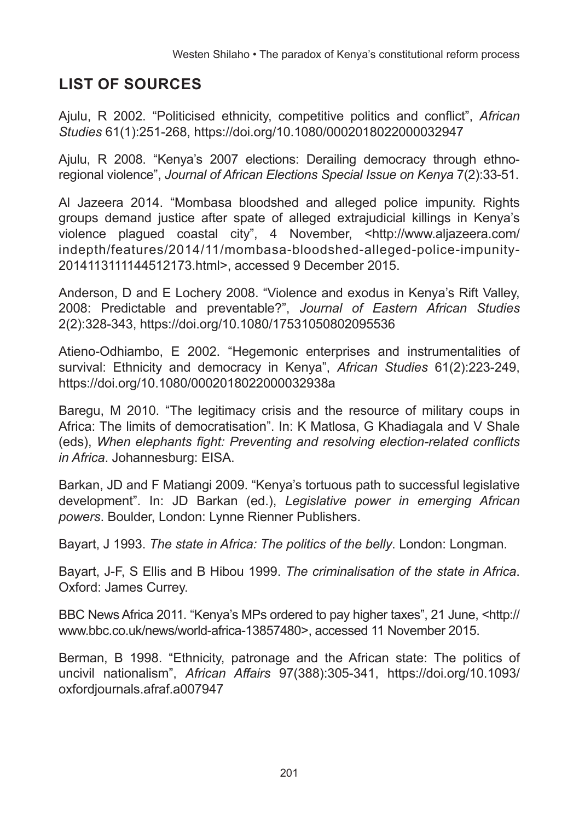# **LIST OF SOURCES**

Ajulu, R 2002. "Politicised ethnicity, competitive politics and conflict", *African Studies* 61(1):251-268, https://doi.org/10.1080/0002018022000032947

Ajulu, R 2008. "Kenya's 2007 elections: Derailing democracy through ethnoregional violence", *Journal of African Elections Special Issue on Kenya* 7(2):33-51.

Al Jazeera 2014. "Mombasa bloodshed and alleged police impunity. Rights groups demand justice after spate of alleged extrajudicial killings in Kenya's violence plagued coastal city", 4 November, <[http://www.aljazeera.com/](http://www.aljazeera.com/indepth/features/2014/11/mombasa-bloodshed-alleged-police-impunity-2014113111144512173.html) [indepth/features/2014/11/mombasa-bloodshed-alleged-police-impunity-](http://www.aljazeera.com/indepth/features/2014/11/mombasa-bloodshed-alleged-police-impunity-2014113111144512173.html)[2014113111144512173.html>](http://www.aljazeera.com/indepth/features/2014/11/mombasa-bloodshed-alleged-police-impunity-2014113111144512173.html), accessed 9 December 2015.

Anderson, D and E Lochery 2008. "Violence and exodus in Kenya's Rift Valley, 2008: Predictable and preventable?", *Journal of Eastern African Studies* 2(2):328-343, https://doi.org/10.1080/17531050802095536

Atieno-Odhiambo, E 2002. "Hegemonic enterprises and instrumentalities of survival: Ethnicity and democracy in Kenya", *African Studies* 61(2):223-249, https://doi.org/10.1080/0002018022000032938a

Baregu, M 2010. "The legitimacy crisis and the resource of military coups in Africa: The limits of democratisation". In: K Matlosa, G Khadiagala and V Shale (eds), *When elephants fight: Preventing and resolving election-related conflicts in Africa*. Johannesburg: EISA.

Barkan, JD and F Matiangi 2009. "Kenya's tortuous path to successful legislative development". In: JD Barkan (ed.), *Legislative power in emerging African powers*. Boulder, London: Lynne Rienner Publishers.

Bayart, J 1993. *The state in Africa: The politics of the belly*. London: Longman.

Bayart, J-F, S Ellis and B Hibou 1999. *The criminalisation of the state in Africa*. Oxford: James Currey.

BBC News Africa 2011*.* "Kenya's MPs ordered to pay higher taxes", 21 June, <[http://](http://www.bbc.co.uk/news/world-africa-13857480) [www.bbc.co.uk/news/world-africa-13857480](http://www.bbc.co.uk/news/world-africa-13857480)>, accessed 11 November 2015.

Berman, B 1998. "Ethnicity, patronage and the African state: The politics of uncivil nationalism", *African Affairs* 97(388):305-341, https://doi.org/10.1093/ oxfordjournals.afraf.a007947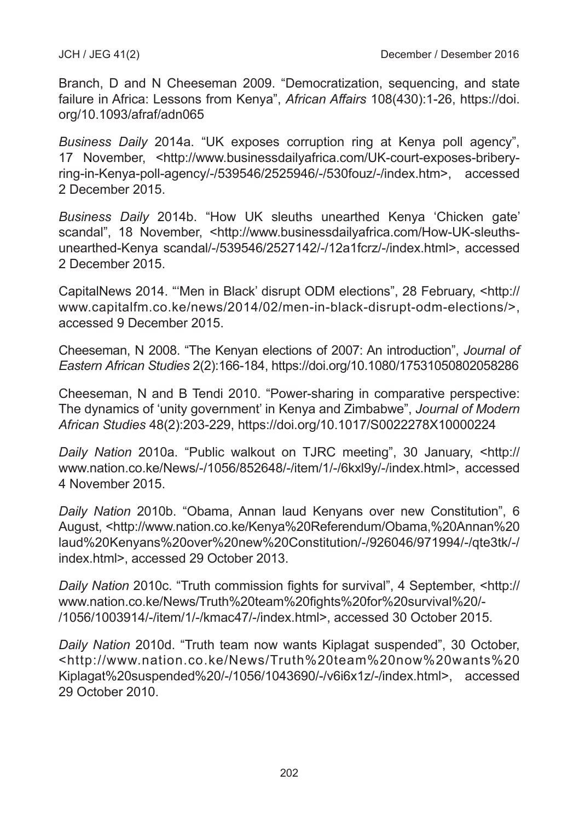Branch, D and N Cheeseman 2009. "Democratization, sequencing, and state failure in Africa: Lessons from Kenya", *African Affairs* 108(430):1-26, https://doi. org/10.1093/afraf/adn065

*Business Daily* 2014a. "UK exposes corruption ring at Kenya poll agency", 17 November, <http://www.businessdailyafrica.com/UK-court-exposes-briberyring-in-Kenya-poll-agency/-/539546/2525946/-/530fouz/-/index.htm>, accessed 2 December 2015.

*Business Daily* 2014b. "How UK sleuths unearthed Kenya 'Chicken gate' scandal", 18 November, <[http://www.businessdailyafrica.com/How-UK-sleuths](http://www.businessdailyafrica.com/How-UK-sleuths-unearthed-Kenya-scandal/-/539546/2527142/-/12a1fcrz/-/index.html)[unearthed-Kenya scandal/-/539546/2527142/-/12a1fcrz/-/index.html](http://www.businessdailyafrica.com/How-UK-sleuths-unearthed-Kenya-scandal/-/539546/2527142/-/12a1fcrz/-/index.html)>, accessed 2 December 2015.

CapitalNews 2014. "'Men in Black' disrupt ODM elections", 28 February, <[http://](http://www.capitalfm.co.ke/news/2014/02/men-in-black-disrupt-odm-elections/) [www.capitalfm.co.ke/news/2014/02/men-in-black-disrupt-odm-elections/](http://www.capitalfm.co.ke/news/2014/02/men-in-black-disrupt-odm-elections/)>, accessed 9 December 2015.

Cheeseman, N 2008. "The Kenyan elections of 2007: An introduction", *Journal of Eastern African Studies* 2(2):166-184, https://doi.org/10.1080/17531050802058286

Cheeseman, N and B Tendi 2010. "Power-sharing in comparative perspective: The dynamics of 'unity government' in Kenya and Zimbabwe", *Journal of Modern African Studies* 48(2):203-229, https://doi.org/10.1017/S0022278X10000224

*Daily Nation* 2010a. "Public walkout on TJRC meeting", 30 January, <[http://](http://www.nation.co.ke/News/-/1056/852648/-/item/1/-/6kxl9y/-/index.html) [www.nation.co.ke/News/-/1056/852648/-/item/1/-/6kxl9y/-/index.html](http://www.nation.co.ke/News/-/1056/852648/-/item/1/-/6kxl9y/-/index.html)>, accessed 4 November 2015.

*Daily Nation* 2010b. "Obama, Annan laud Kenyans over new Constitution", 6 August, [<http://www.nation.co.ke/Kenya%20Referendum/Obama,%20Annan%20](http://www.nation.co.ke/Kenya Referendum/Obama, Annan laud Kenyans over new Constitution/-/926046/971994/-/qte3tk/-/index.html) [laud%20Kenyans%20over%20new%20Constitution/-/926046/971994/-/qte3tk/-/](http://www.nation.co.ke/Kenya Referendum/Obama, Annan laud Kenyans over new Constitution/-/926046/971994/-/qte3tk/-/index.html) [index.html>](http://www.nation.co.ke/Kenya Referendum/Obama, Annan laud Kenyans over new Constitution/-/926046/971994/-/qte3tk/-/index.html), accessed 29 October 2013.

*Daily Nation* 2010c. "Truth commission fights for survival", 4 September, <[http://](http://www.nation.co.ke/News/Truth team fights for survival /-/1056/1003914/-/item/1/-/kmac47/-/index.html) [www.nation.co.ke/News/Truth%20team%20fights%20for%20survival%20/-](http://www.nation.co.ke/News/Truth team fights for survival /-/1056/1003914/-/item/1/-/kmac47/-/index.html) [/1056/1003914/-/item/1/-/kmac47/-/index.html>](http://www.nation.co.ke/News/Truth team fights for survival /-/1056/1003914/-/item/1/-/kmac47/-/index.html), accessed 30 October 2015.

*Daily Nation* 2010d. "Truth team now wants Kiplagat suspended", 30 October, <[http://www.nation.co.ke/News/Truth%20team%20now%20wants%20](http://www.nation.co.ke/News/Truth team now wants Kiplagat suspended /-/1056/1043690/-/v6i6x1z/-/index.html) [Kiplagat%20suspended%20/-/1056/1043690/-/v6i6x1z/-/index.html](http://www.nation.co.ke/News/Truth team now wants Kiplagat suspended /-/1056/1043690/-/v6i6x1z/-/index.html)>, accessed 29 October 2010.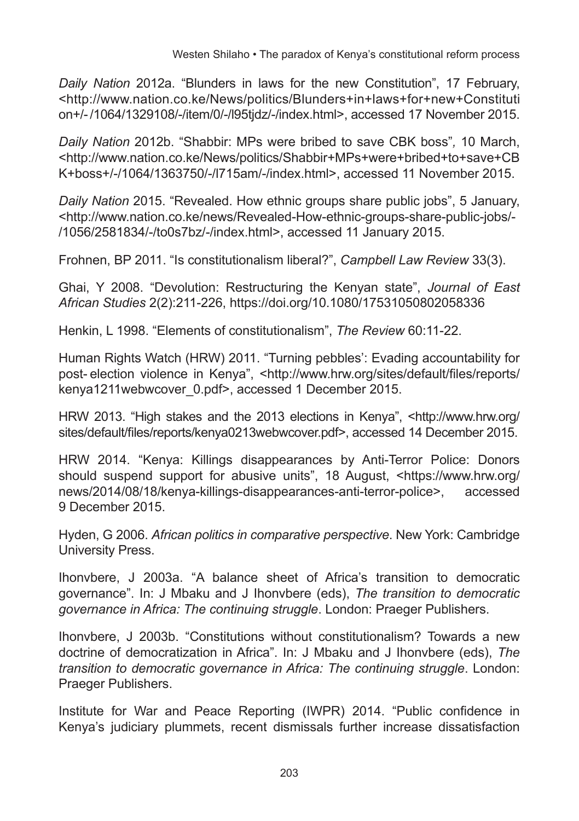*Daily Nation* 2012a. "Blunders in laws for the new Constitution", 17 February, [<http://www.nation.co.ke/News/politics/Blunders+in+laws+for+new+Constituti](http://www.nation.co.ke/News/politics/Blunders+in+laws+for+new+Constitution+/-/1064/1329108/-/item/0/-/l95tjdz/-/index.html) [on+/-/1064/1329108/-/item/0/-/l95tjdz/-/index.html](http://www.nation.co.ke/News/politics/Blunders+in+laws+for+new+Constitution+/-/1064/1329108/-/item/0/-/l95tjdz/-/index.html)>, accessed 17 November 2015.

*Daily Nation* 2012b. "Shabbir: MPs were bribed to save CBK boss"*,* 10 March, [<http://www.nation.co.ke/News/politics/Shabbir+MPs+were+bribed+to+save+CB](http://www.nation.co.ke/News/politics/Shabbir+MPs+were+bribed+to+save+CBK+boss+/-/1064/1363750/-/l715am/-/index.html) [K+boss+/-/1064/1363750/-/l715am/-/index.html](http://www.nation.co.ke/News/politics/Shabbir+MPs+were+bribed+to+save+CBK+boss+/-/1064/1363750/-/l715am/-/index.html)>, accessed 11 November 2015.

*Daily Nation* 2015. "Revealed. How ethnic groups share public jobs", 5 January, [<http://www.nation.co.ke/news/Revealed-How-ethnic-groups-share-public-jobs/-](http://www.nation.co.ke/news/Revealed-How-ethnic-groups-share-public-jobs/-/1056/2581834/-/to0s7bz/-/index.html) [/1056/2581834/-/to0s7bz/-/index.html>](http://www.nation.co.ke/news/Revealed-How-ethnic-groups-share-public-jobs/-/1056/2581834/-/to0s7bz/-/index.html), accessed 11 January 2015.

Frohnen, BP 2011. "Is constitutionalism liberal?", *Campbell Law Review* 33(3).

Ghai, Y 2008. "Devolution: Restructuring the Kenyan state", *Journal of East African Studies* 2(2):211-226, https://doi.org/10.1080/17531050802058336

Henkin, L 1998. "Elements of constitutionalism", *The Review* 60:11-22.

Human Rights Watch (HRW) 2011. "Turning pebbles': Evading accountability for post- election violence in Kenya", <[http://www.hrw.org/sites/default/files/reports/](http://www.hrw.org/sites/default/files/reports/kenya1211webwcover_0.pdf) [kenya1211webwcover\\_0.pdf](http://www.hrw.org/sites/default/files/reports/kenya1211webwcover_0.pdf)>, accessed 1 December 2015.

HRW 2013. "High stakes and the 2013 elections in Kenya", [<http://www.hrw.org/](http://www.hrw.org/sites/default/files/reports/kenya0213webwcover.pdf) [sites/default/files/reports/kenya0213webwcover.pdf](http://www.hrw.org/sites/default/files/reports/kenya0213webwcover.pdf)>, accessed 14 December 2015.

HRW 2014. "Kenya: Killings disappearances by Anti-Terror Police: Donors should suspend support for abusive units", 18 August, <[https://www.hrw.org/](https://www.hrw.org/news/2014/08/18/kenya-killings-disappearances-anti-terror-police) [news/2014/08/18/kenya-killings-disappearances-anti-terror-police](https://www.hrw.org/news/2014/08/18/kenya-killings-disappearances-anti-terror-police)>, accessed 9 December 2015.

Hyden, G 2006. *African politics in comparative perspective*. New York: Cambridge University Press.

Ihonvbere, J 2003a. "A balance sheet of Africa's transition to democratic governance". In: J Mbaku and J Ihonvbere (eds), *The transition to democratic governance in Africa: The continuing struggle*. London: Praeger Publishers.

Ihonvbere, J 2003b. "Constitutions without constitutionalism? Towards a new doctrine of democratization in Africa". In: J Mbaku and J Ihonvbere (eds), *The transition to democratic governance in Africa: The continuing struggle*. London: Praeger Publishers.

Institute for War and Peace Reporting (IWPR) 2014. "Public confidence in Kenya's judiciary plummets, recent dismissals further increase dissatisfaction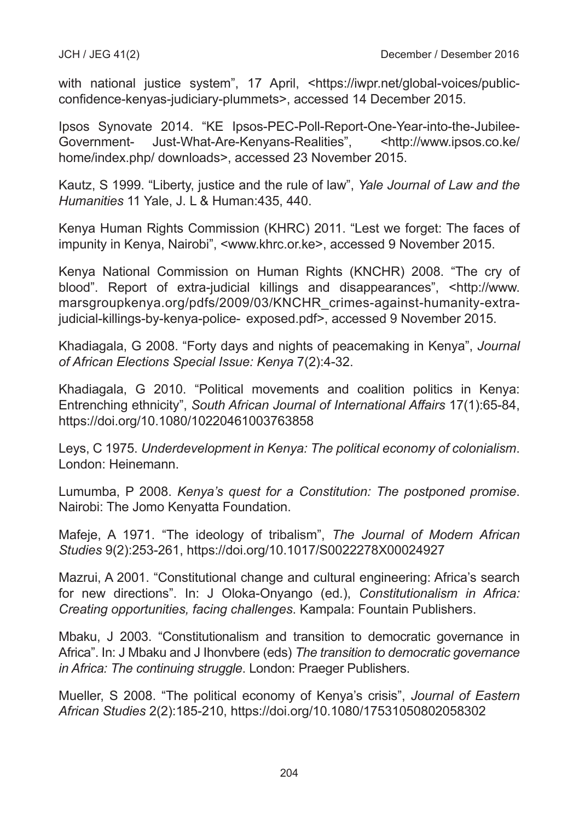with national justice system", 17 April, <[https://iwpr.net/global-voices/public](https://iwpr.net/global-voices/public-confidence-kenyas-judiciary-plummets)[confidence-kenyas-judiciary-plummets](https://iwpr.net/global-voices/public-confidence-kenyas-judiciary-plummets)>, accessed 14 December 2015.

Ipsos Synovate 2014. "KE Ipsos-PEC-Poll-Report-One-Year-into-the-Jubilee-Government- Just-What-Are-Kenyans-Realities", [<http://www.ipsos.co.ke/](http://www.ipsos.co.ke/home/index.php/downloads) [home/index.php/ downloads>](http://www.ipsos.co.ke/home/index.php/downloads), accessed 23 November 2015.

Kautz, S 1999. "Liberty, justice and the rule of law", *Yale Journal of Law and the Humanities* 11 Yale, J. L & Human:435, 440.

Kenya Human Rights Commission (KHRC) 2011. "Lest we forget: The faces of impunity in Kenya, Nairobi", [<www.khrc.or.ke>](http://www.khrc.or.ke), accessed 9 November 2015.

Kenya National Commission on Human Rights (KNCHR) 2008. "The cry of blood". Report of extra-judicial killings and disappearances", [<http://www.](http://www.marsgroupkenya.org/pdfs/2009/03/KNCHR_crimes-against-humanity-extra-judicial-killings-by-kenya-police-exposed.pdf) [marsgroupkenya.org/pdfs/2009/03/KNCHR\\_crimes-against-humanity-extra](http://www.marsgroupkenya.org/pdfs/2009/03/KNCHR_crimes-against-humanity-extra-judicial-killings-by-kenya-police-exposed.pdf)[judicial-killings-by-kenya-police-](http://www.marsgroupkenya.org/pdfs/2009/03/KNCHR_crimes-against-humanity-extra-judicial-killings-by-kenya-police-exposed.pdf) exposed.pdf>, accessed 9 November 2015.

Khadiagala, G 2008. "Forty days and nights of peacemaking in Kenya", *Journal of African Elections Special Issue: Kenya* 7(2):4-32.

Khadiagala, G 2010. "Political movements and coalition politics in Kenya: Entrenching ethnicity", *South African Journal of International Affairs* 17(1):65-84, https://doi.org/10.1080/10220461003763858

Leys, C 1975. *Underdevelopment in Kenya: The political economy of colonialism*. London: Heinemann.

Lumumba, P 2008. *Kenya's quest for a Constitution: The postponed promise*. Nairobi: The Jomo Kenyatta Foundation.

Mafeje, A 1971. "The ideology of tribalism", *The Journal of Modern African Studies* 9(2):253-261, https://doi.org/10.1017/S0022278X00024927

Mazrui, A 2001. "Constitutional change and cultural engineering: Africa's search for new directions". In: J Oloka-Onyango (ed.), *Constitutionalism in Africa: Creating opportunities, facing challenges*. Kampala: Fountain Publishers.

Mbaku, J 2003. "Constitutionalism and transition to democratic governance in Africa". In: J Mbaku and J Ihonvbere (eds) *The transition to democratic governance in Africa: The continuing struggle*. London: Praeger Publishers.

Mueller, S 2008. "The political economy of Kenya's crisis", *Journal of Eastern African Studies* 2(2):185-210, https://doi.org/10.1080/17531050802058302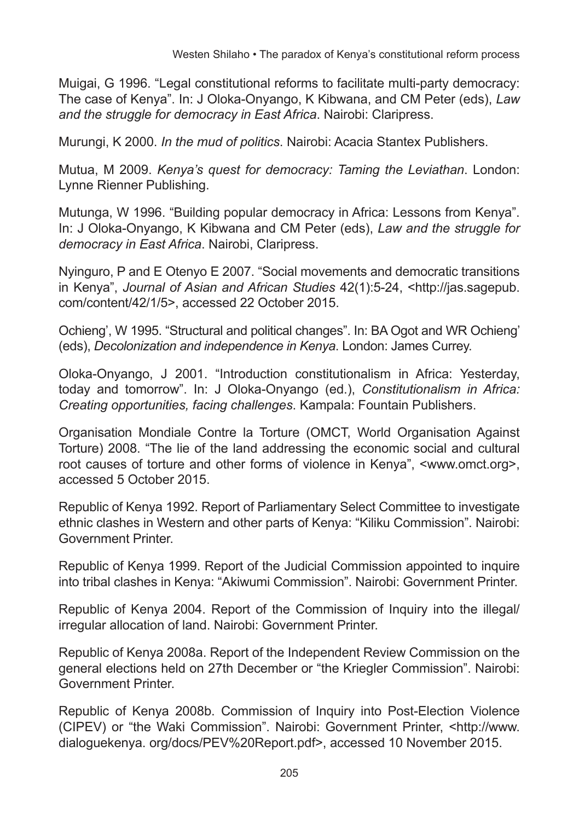Muigai, G 1996. "Legal constitutional reforms to facilitate multi-party democracy: The case of Kenya". In: J Oloka-Onyango, K Kibwana, and CM Peter (eds), *Law and the struggle for democracy in East Africa*. Nairobi: Claripress.

Murungi, K 2000. *In the mud of politics*. Nairobi: Acacia Stantex Publishers.

Mutua, M 2009. *Kenya's quest for democracy: Taming the Leviathan*. London: Lynne Rienner Publishing.

Mutunga, W 1996. "Building popular democracy in Africa: Lessons from Kenya". In: J Oloka-Onyango, K Kibwana and CM Peter (eds), *Law and the struggle for democracy in East Africa*. Nairobi, Claripress.

Nyinguro, P and E Otenyo E 2007. "Social movements and democratic transitions in Kenya", *Journal of Asian and African Studies* 42(1):5-24, [<http://jas.sagepub.](http://jas.sagepub.com/content/42/1/5) [com/content/42/1/5>](http://jas.sagepub.com/content/42/1/5), accessed 22 October 2015.

Ochieng', W 1995. "Structural and political changes". In: BA Ogot and WR Ochieng' (eds), *Decolonization and independence in Kenya*. London: James Currey.

Oloka-Onyango, J 2001. "Introduction constitutionalism in Africa: Yesterday, today and tomorrow". In: J Oloka-Onyango (ed.), *Constitutionalism in Africa: Creating opportunities, facing challenges*. Kampala: Fountain Publishers.

Organisation Mondiale Contre la Torture (OMCT, World Organisation Against Torture) 2008. "The lie of the land addressing the economic social and cultural root causes of torture and other forms of violence in Kenya", <[www.omct.org>](http://www.omct.org), accessed 5 October 2015.

Republic of Kenya 1992. Report of Parliamentary Select Committee to investigate ethnic clashes in Western and other parts of Kenya: "Kiliku Commission". Nairobi: Government Printer.

Republic of Kenya 1999. Report of the Judicial Commission appointed to inquire into tribal clashes in Kenya: "Akiwumi Commission". Nairobi: Government Printer.

Republic of Kenya 2004. Report of the Commission of Inquiry into the illegal/ irregular allocation of land. Nairobi: Government Printer.

Republic of Kenya 2008a. Report of the Independent Review Commission on the general elections held on 27th December or "the Kriegler Commission". Nairobi: Government Printer.

Republic of Kenya 2008b. Commission of Inquiry into Post-Election Violence (CIPEV) or "the Waki Commission". Nairobi: Government Printer, [<http://www.](http://www.dialoguekenya.org/docs/PEV Report.pdf) [dialoguekenya. org/docs/PEV%20Report.pdf>](http://www.dialoguekenya.org/docs/PEV Report.pdf), accessed 10 November 2015.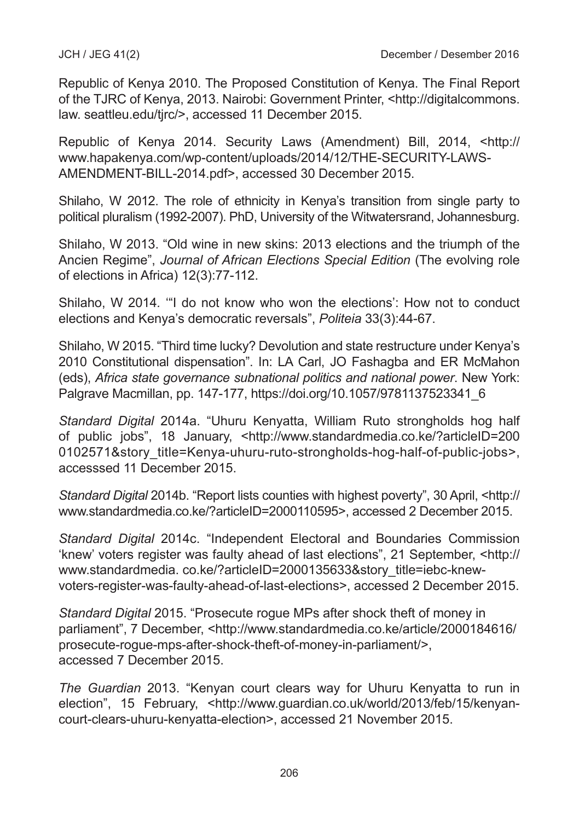Republic of Kenya 2010. The Proposed Constitution of Kenya. The Final Report of the TJRC of Kenya, 2013. Nairobi: Government Printer, <http://digitalcommons. law. seattleu.edu/tjrc/>, accessed 11 December 2015.

Republic of Kenya 2014. Security Laws (Amendment) Bill, 2014, <[http://](http://www.hapakenya.com/wp-content/uploads/2014/12/THE-SECURITY-LAWS-AMENDMENT-BILL-2014.pdf) [www.hapakenya.com/wp-content/uploads/2014/12/THE-SECURITY-LAWS-](http://www.hapakenya.com/wp-content/uploads/2014/12/THE-SECURITY-LAWS-AMENDMENT-BILL-2014.pdf)[AMENDMENT-BILL-2014.pdf>](http://www.hapakenya.com/wp-content/uploads/2014/12/THE-SECURITY-LAWS-AMENDMENT-BILL-2014.pdf), accessed 30 December 2015.

Shilaho, W 2012. The role of ethnicity in Kenya's transition from single party to political pluralism (1992-2007). PhD, University of the Witwatersrand, Johannesburg.

Shilaho, W 2013. "Old wine in new skins: 2013 elections and the triumph of the Ancien Regime", *Journal of African Elections Special Edition* (The evolving role of elections in Africa) 12(3):77-112.

Shilaho, W 2014*.* '"I do not know who won the elections': How not to conduct elections and Kenya's democratic reversals", *Politeia* 33(3):44-67.

Shilaho, W 2015. "Third time lucky? Devolution and state restructure under Kenya's 2010 Constitutional dispensation". In: LA Carl, JO Fashagba and ER McMahon (eds), *Africa state governance subnational politics and national power*. New York: Palgrave Macmillan, pp. 147-177, https://doi.org/10.1057/9781137523341\_6

*Standard Digital* 2014a. "Uhuru Kenyatta, William Ruto strongholds hog half of public jobs", 18 January, [<http://www.standardmedia.co.ke/?articleID=200](http://www.standardmedia.co.ke/?articleID=2000102571&story_title=Kenya-uhuru-ruto-strongholds-hog-half-of-public-jobs) [0102571&story\\_title=Kenya-uhuru-ruto-strongholds-hog-half-of-public-jobs>](http://www.standardmedia.co.ke/?articleID=2000102571&story_title=Kenya-uhuru-ruto-strongholds-hog-half-of-public-jobs), accesssed 11 December 2015.

*Standard Digital* 2014b. "Report lists counties with highest poverty", 30 April, [<http://](http://www.standardmedia.co.ke/?articleID=2000110595) [www.standardmedia.co.ke/?articleID=2000110595](http://www.standardmedia.co.ke/?articleID=2000110595)>, accessed 2 December 2015.

*Standard Digital* 2014c. "Independent Electoral and Boundaries Commission 'knew' voters register was faulty ahead of last elections", 21 September, <[http://](http://www.standardmedia.co.ke/?articleID=2000135633&story_title=iebc-knew-voters-register-was-faulty-ahead-of-last-elections) [www.standardmedia. co.ke/?articleID=2000135633&story\\_title=iebc-knew](http://www.standardmedia.co.ke/?articleID=2000135633&story_title=iebc-knew-voters-register-was-faulty-ahead-of-last-elections)[voters-register-was-faulty-ahead-of-last-elections](http://www.standardmedia.co.ke/?articleID=2000135633&story_title=iebc-knew-voters-register-was-faulty-ahead-of-last-elections)>, accessed 2 December 2015.

*Standard Digital* 2015. "Prosecute rogue MPs after shock theft of money in parliament", 7 December, [<http://www.standardmedia.co.ke/article/2000184616/](http://www.standardmedia.co.ke/article/2000184616/prosecute-rogue-mps-after-shock-theft-of-money-in-parliament/) [prosecute-rogue-mps-after-shock-theft-of-money-in-parliament/](http://www.standardmedia.co.ke/article/2000184616/prosecute-rogue-mps-after-shock-theft-of-money-in-parliament/)>, accessed 7 December 2015.

*The Guardian* 2013. "Kenyan court clears way for Uhuru Kenyatta to run in election", 15 February, [<http://www.guardian.co.uk/world/2013/feb/15/kenyan](http://www.guardian.co.uk/world/2013/feb/15/kenyan-court-clears-uhuru-kenyatta-election)[court-clears-uhuru-kenyatta-election>](http://www.guardian.co.uk/world/2013/feb/15/kenyan-court-clears-uhuru-kenyatta-election), accessed 21 November 2015.